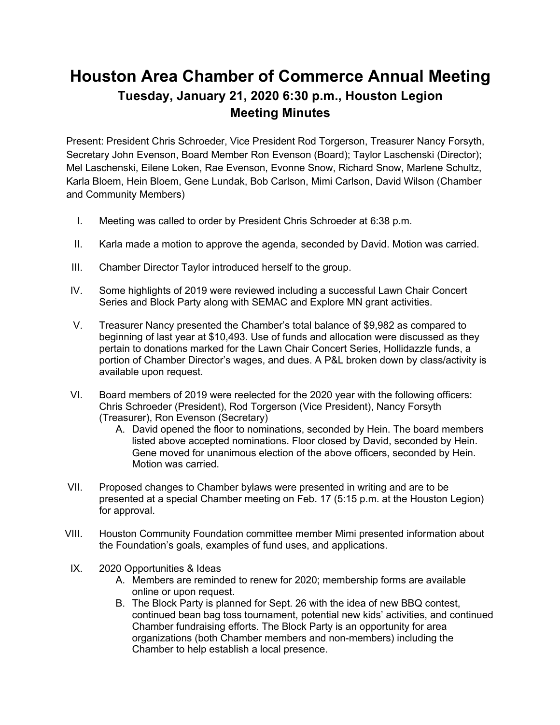## **Houston Area Chamber of Commerce Annual Meeting Tuesday, January 21, 2020 6:30 p.m., Houston Legion Meeting Minutes**

Present: President Chris Schroeder, Vice President Rod Torgerson, Treasurer Nancy Forsyth, Secretary John Evenson, Board Member Ron Evenson (Board); Taylor Laschenski (Director); Mel Laschenski, Eilene Loken, Rae Evenson, Evonne Snow, Richard Snow, Marlene Schultz, Karla Bloem, Hein Bloem, Gene Lundak, Bob Carlson, Mimi Carlson, David Wilson (Chamber and Community Members)

- I. Meeting was called to order by President Chris Schroeder at 6:38 p.m.
- II. Karla made a motion to approve the agenda, seconded by David. Motion was carried.
- III. Chamber Director Taylor introduced herself to the group.
- IV. Some highlights of 2019 were reviewed including a successful Lawn Chair Concert Series and Block Party along with SEMAC and Explore MN grant activities.
- V. Treasurer Nancy presented the Chamber's total balance of \$9,982 as compared to beginning of last year at \$10,493. Use of funds and allocation were discussed as they pertain to donations marked for the Lawn Chair Concert Series, Hollidazzle funds, a portion of Chamber Director's wages, and dues. A P&L broken down by class/activity is available upon request.
- VI. Board members of 2019 were reelected for the 2020 year with the following officers: Chris Schroeder (President), Rod Torgerson (Vice President), Nancy Forsyth (Treasurer), Ron Evenson (Secretary)
	- A. David opened the floor to nominations, seconded by Hein. The board members listed above accepted nominations. Floor closed by David, seconded by Hein. Gene moved for unanimous election of the above officers, seconded by Hein. Motion was carried.
- VII. Proposed changes to Chamber bylaws were presented in writing and are to be presented at a special Chamber meeting on Feb. 17 (5:15 p.m. at the Houston Legion) for approval.
- VIII. Houston Community Foundation committee member Mimi presented information about the Foundation's goals, examples of fund uses, and applications.
- IX. 2020 Opportunities & Ideas
	- A. Members are reminded to renew for 2020; membership forms are available online or upon request.
	- B. The Block Party is planned for Sept. 26 with the idea of new BBQ contest, continued bean bag toss tournament, potential new kids' activities, and continued Chamber fundraising efforts. The Block Party is an opportunity for area organizations (both Chamber members and non-members) including the Chamber to help establish a local presence.